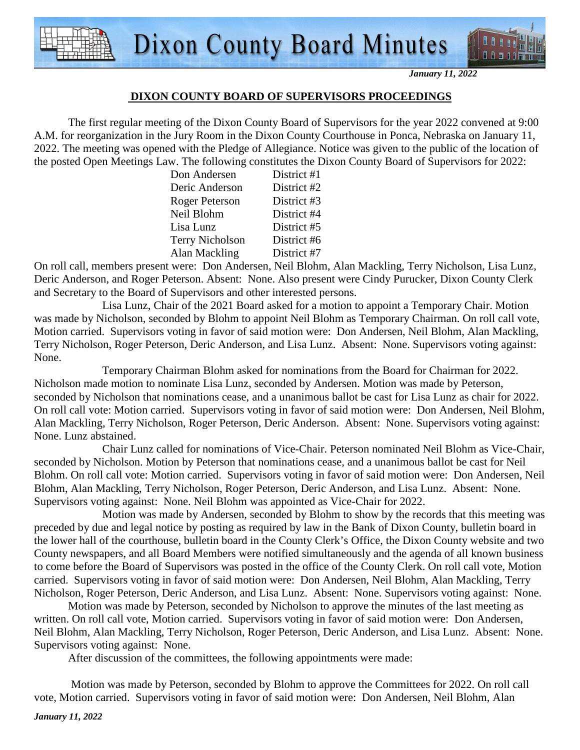

*January 11, 2022* 

#### **DIXON COUNTY BOARD OF SUPERVISORS PROCEEDINGS**

 The first regular meeting of the Dixon County Board of Supervisors for the year 2022 convened at 9:00 A.M. for reorganization in the Jury Room in the Dixon County Courthouse in Ponca, Nebraska on January 11, 2022. The meeting was opened with the Pledge of Allegiance. Notice was given to the public of the location of the posted Open Meetings Law. The following constitutes the Dixon County Board of Supervisors for 2022:

| Don Andersen           | District #1 |
|------------------------|-------------|
| Deric Anderson         | District #2 |
| <b>Roger Peterson</b>  | District #3 |
| Neil Blohm             | District #4 |
| Lisa Lunz              | District #5 |
| <b>Terry Nicholson</b> | District #6 |
| Alan Mackling          | District #7 |

On roll call, members present were: Don Andersen, Neil Blohm, Alan Mackling, Terry Nicholson, Lisa Lunz, Deric Anderson, and Roger Peterson. Absent: None. Also present were Cindy Purucker, Dixon County Clerk and Secretary to the Board of Supervisors and other interested persons.

 Lisa Lunz, Chair of the 2021 Board asked for a motion to appoint a Temporary Chair. Motion was made by Nicholson, seconded by Blohm to appoint Neil Blohm as Temporary Chairman. On roll call vote, Motion carried. Supervisors voting in favor of said motion were: Don Andersen, Neil Blohm, Alan Mackling, Terry Nicholson, Roger Peterson, Deric Anderson, and Lisa Lunz. Absent: None. Supervisors voting against: None.

 Temporary Chairman Blohm asked for nominations from the Board for Chairman for 2022. Nicholson made motion to nominate Lisa Lunz, seconded by Andersen. Motion was made by Peterson, seconded by Nicholson that nominations cease, and a unanimous ballot be cast for Lisa Lunz as chair for 2022. On roll call vote: Motion carried. Supervisors voting in favor of said motion were: Don Andersen, Neil Blohm, Alan Mackling, Terry Nicholson, Roger Peterson, Deric Anderson. Absent: None. Supervisors voting against: None. Lunz abstained.

 Chair Lunz called for nominations of Vice-Chair. Peterson nominated Neil Blohm as Vice-Chair, seconded by Nicholson. Motion by Peterson that nominations cease, and a unanimous ballot be cast for Neil Blohm. On roll call vote: Motion carried. Supervisors voting in favor of said motion were: Don Andersen, Neil Blohm, Alan Mackling, Terry Nicholson, Roger Peterson, Deric Anderson, and Lisa Lunz. Absent: None. Supervisors voting against: None. Neil Blohm was appointed as Vice-Chair for 2022.

 Motion was made by Andersen, seconded by Blohm to show by the records that this meeting was preceded by due and legal notice by posting as required by law in the Bank of Dixon County, bulletin board in the lower hall of the courthouse, bulletin board in the County Clerk's Office, the Dixon County website and two County newspapers, and all Board Members were notified simultaneously and the agenda of all known business to come before the Board of Supervisors was posted in the office of the County Clerk. On roll call vote, Motion carried. Supervisors voting in favor of said motion were: Don Andersen, Neil Blohm, Alan Mackling, Terry Nicholson, Roger Peterson, Deric Anderson, and Lisa Lunz. Absent: None. Supervisors voting against: None.

Motion was made by Peterson, seconded by Nicholson to approve the minutes of the last meeting as written. On roll call vote, Motion carried. Supervisors voting in favor of said motion were: Don Andersen, Neil Blohm, Alan Mackling, Terry Nicholson, Roger Peterson, Deric Anderson, and Lisa Lunz. Absent: None. Supervisors voting against: None.

After discussion of the committees, the following appointments were made:

 Motion was made by Peterson, seconded by Blohm to approve the Committees for 2022. On roll call vote, Motion carried. Supervisors voting in favor of said motion were: Don Andersen, Neil Blohm, Alan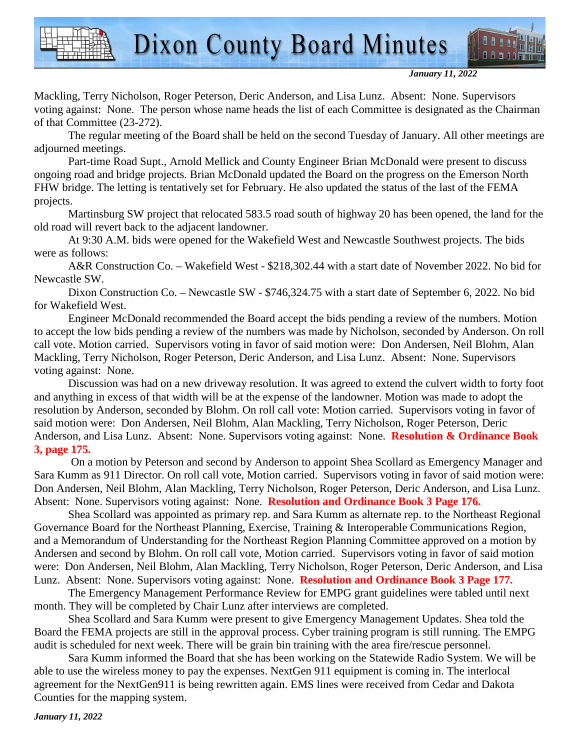

*January 11, 2022* 

Mackling, Terry Nicholson, Roger Peterson, Deric Anderson, and Lisa Lunz. Absent: None. Supervisors voting against: None. The person whose name heads the list of each Committee is designated as the Chairman of that Committee (23-272).

The regular meeting of the Board shall be held on the second Tuesday of January. All other meetings are adjourned meetings.

Part-time Road Supt., Arnold Mellick and County Engineer Brian McDonald were present to discuss ongoing road and bridge projects. Brian McDonald updated the Board on the progress on the Emerson North FHW bridge. The letting is tentatively set for February. He also updated the status of the last of the FEMA projects.

Martinsburg SW project that relocated 583.5 road south of highway 20 has been opened, the land for the old road will revert back to the adjacent landowner.

At 9:30 A.M. bids were opened for the Wakefield West and Newcastle Southwest projects. The bids were as follows:

A&R Construction Co. – Wakefield West - \$218,302.44 with a start date of November 2022. No bid for Newcastle SW.

Dixon Construction Co. – Newcastle SW - \$746,324.75 with a start date of September 6, 2022. No bid for Wakefield West.

Engineer McDonald recommended the Board accept the bids pending a review of the numbers. Motion to accept the low bids pending a review of the numbers was made by Nicholson, seconded by Anderson. On roll call vote. Motion carried. Supervisors voting in favor of said motion were: Don Andersen, Neil Blohm, Alan Mackling, Terry Nicholson, Roger Peterson, Deric Anderson, and Lisa Lunz. Absent: None. Supervisors voting against: None.

Discussion was had on a new driveway resolution. It was agreed to extend the culvert width to forty foot and anything in excess of that width will be at the expense of the landowner. Motion was made to adopt the resolution by Anderson, seconded by Blohm. On roll call vote: Motion carried. Supervisors voting in favor of said motion were: Don Andersen, Neil Blohm, Alan Mackling, Terry Nicholson, Roger Peterson, Deric Anderson, and Lisa Lunz. Absent: None. Supervisors voting against: None. **Resolution & Ordinance Book 3, page 175.** 

 On a motion by Peterson and second by Anderson to appoint Shea Scollard as Emergency Manager and Sara Kumm as 911 Director. On roll call vote, Motion carried. Supervisors voting in favor of said motion were: Don Andersen, Neil Blohm, Alan Mackling, Terry Nicholson, Roger Peterson, Deric Anderson, and Lisa Lunz. Absent: None. Supervisors voting against: None. **Resolution and Ordinance Book 3 Page 176.**

Shea Scollard was appointed as primary rep. and Sara Kumm as alternate rep. to the Northeast Regional Governance Board for the Northeast Planning, Exercise, Training & Interoperable Communications Region, and a Memorandum of Understanding for the Northeast Region Planning Committee approved on a motion by Andersen and second by Blohm. On roll call vote, Motion carried. Supervisors voting in favor of said motion were: Don Andersen, Neil Blohm, Alan Mackling, Terry Nicholson, Roger Peterson, Deric Anderson, and Lisa Lunz. Absent: None. Supervisors voting against: None. **Resolution and Ordinance Book 3 Page 177.**

The Emergency Management Performance Review for EMPG grant guidelines were tabled until next month. They will be completed by Chair Lunz after interviews are completed.

Shea Scollard and Sara Kumm were present to give Emergency Management Updates. Shea told the Board the FEMA projects are still in the approval process. Cyber training program is still running. The EMPG audit is scheduled for next week. There will be grain bin training with the area fire/rescue personnel.

Sara Kumm informed the Board that she has been working on the Statewide Radio System. We will be able to use the wireless money to pay the expenses. NextGen 911 equipment is coming in. The interlocal agreement for the NextGen911 is being rewritten again. EMS lines were received from Cedar and Dakota Counties for the mapping system.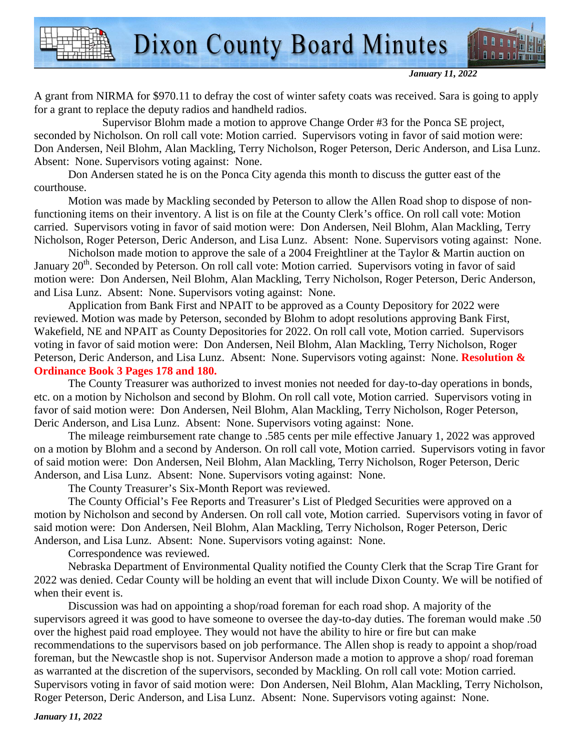*January 11, 2022* 

A grant from NIRMA for \$970.11 to defray the cost of winter safety coats was received. Sara is going to apply for a grant to replace the deputy radios and handheld radios.

 Supervisor Blohm made a motion to approve Change Order #3 for the Ponca SE project, seconded by Nicholson. On roll call vote: Motion carried. Supervisors voting in favor of said motion were: Don Andersen, Neil Blohm, Alan Mackling, Terry Nicholson, Roger Peterson, Deric Anderson, and Lisa Lunz. Absent: None. Supervisors voting against: None.

Don Andersen stated he is on the Ponca City agenda this month to discuss the gutter east of the courthouse.

Motion was made by Mackling seconded by Peterson to allow the Allen Road shop to dispose of nonfunctioning items on their inventory. A list is on file at the County Clerk's office. On roll call vote: Motion carried. Supervisors voting in favor of said motion were: Don Andersen, Neil Blohm, Alan Mackling, Terry Nicholson, Roger Peterson, Deric Anderson, and Lisa Lunz. Absent: None. Supervisors voting against: None.

Nicholson made motion to approve the sale of a 2004 Freightliner at the Taylor & Martin auction on January 20<sup>th</sup>. Seconded by Peterson. On roll call vote: Motion carried. Supervisors voting in favor of said motion were: Don Andersen, Neil Blohm, Alan Mackling, Terry Nicholson, Roger Peterson, Deric Anderson, and Lisa Lunz. Absent: None. Supervisors voting against: None.

Application from Bank First and NPAIT to be approved as a County Depository for 2022 were reviewed. Motion was made by Peterson, seconded by Blohm to adopt resolutions approving Bank First, Wakefield, NE and NPAIT as County Depositories for 2022. On roll call vote, Motion carried. Supervisors voting in favor of said motion were: Don Andersen, Neil Blohm, Alan Mackling, Terry Nicholson, Roger Peterson, Deric Anderson, and Lisa Lunz. Absent: None. Supervisors voting against: None. **Resolution & Ordinance Book 3 Pages 178 and 180.** 

The County Treasurer was authorized to invest monies not needed for day-to-day operations in bonds, etc. on a motion by Nicholson and second by Blohm. On roll call vote, Motion carried. Supervisors voting in favor of said motion were: Don Andersen, Neil Blohm, Alan Mackling, Terry Nicholson, Roger Peterson, Deric Anderson, and Lisa Lunz. Absent: None. Supervisors voting against: None.

The mileage reimbursement rate change to .585 cents per mile effective January 1, 2022 was approved on a motion by Blohm and a second by Anderson. On roll call vote, Motion carried. Supervisors voting in favor of said motion were: Don Andersen, Neil Blohm, Alan Mackling, Terry Nicholson, Roger Peterson, Deric Anderson, and Lisa Lunz. Absent: None. Supervisors voting against: None.

The County Treasurer's Six-Month Report was reviewed.

The County Official's Fee Reports and Treasurer's List of Pledged Securities were approved on a motion by Nicholson and second by Andersen. On roll call vote, Motion carried. Supervisors voting in favor of said motion were: Don Andersen, Neil Blohm, Alan Mackling, Terry Nicholson, Roger Peterson, Deric Anderson, and Lisa Lunz. Absent: None. Supervisors voting against: None.

Correspondence was reviewed.

Nebraska Department of Environmental Quality notified the County Clerk that the Scrap Tire Grant for 2022 was denied. Cedar County will be holding an event that will include Dixon County. We will be notified of when their event is.

Discussion was had on appointing a shop/road foreman for each road shop. A majority of the supervisors agreed it was good to have someone to oversee the day-to-day duties. The foreman would make .50 over the highest paid road employee. They would not have the ability to hire or fire but can make recommendations to the supervisors based on job performance. The Allen shop is ready to appoint a shop/road foreman, but the Newcastle shop is not. Supervisor Anderson made a motion to approve a shop/ road foreman as warranted at the discretion of the supervisors, seconded by Mackling. On roll call vote: Motion carried. Supervisors voting in favor of said motion were: Don Andersen, Neil Blohm, Alan Mackling, Terry Nicholson, Roger Peterson, Deric Anderson, and Lisa Lunz. Absent: None. Supervisors voting against: None.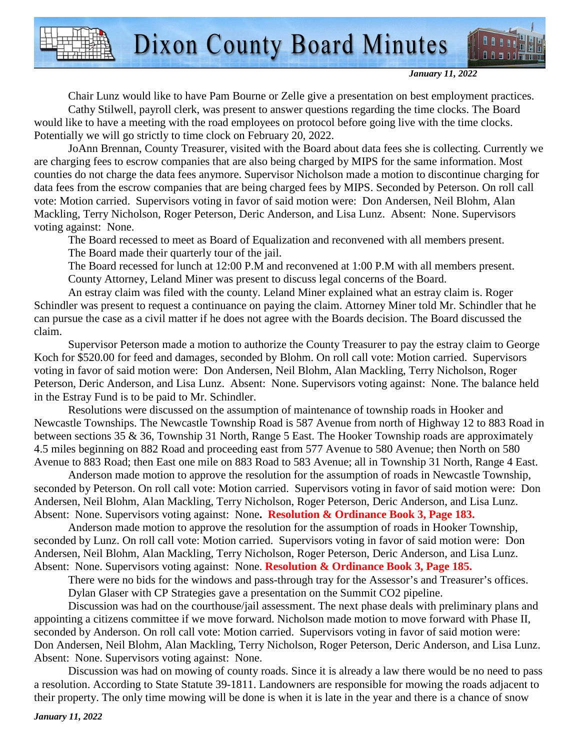*January 11, 2022* 

Chair Lunz would like to have Pam Bourne or Zelle give a presentation on best employment practices. Cathy Stilwell, payroll clerk, was present to answer questions regarding the time clocks. The Board would like to have a meeting with the road employees on protocol before going live with the time clocks. Potentially we will go strictly to time clock on February 20, 2022.

JoAnn Brennan, County Treasurer, visited with the Board about data fees she is collecting. Currently we are charging fees to escrow companies that are also being charged by MIPS for the same information. Most counties do not charge the data fees anymore. Supervisor Nicholson made a motion to discontinue charging for data fees from the escrow companies that are being charged fees by MIPS. Seconded by Peterson. On roll call vote: Motion carried. Supervisors voting in favor of said motion were: Don Andersen, Neil Blohm, Alan Mackling, Terry Nicholson, Roger Peterson, Deric Anderson, and Lisa Lunz. Absent: None. Supervisors voting against: None.

The Board recessed to meet as Board of Equalization and reconvened with all members present. The Board made their quarterly tour of the jail.

The Board recessed for lunch at 12:00 P.M and reconvened at 1:00 P.M with all members present. County Attorney, Leland Miner was present to discuss legal concerns of the Board.

An estray claim was filed with the county. Leland Miner explained what an estray claim is. Roger Schindler was present to request a continuance on paying the claim. Attorney Miner told Mr. Schindler that he can pursue the case as a civil matter if he does not agree with the Boards decision. The Board discussed the claim.

Supervisor Peterson made a motion to authorize the County Treasurer to pay the estray claim to George Koch for \$520.00 for feed and damages, seconded by Blohm. On roll call vote: Motion carried. Supervisors voting in favor of said motion were: Don Andersen, Neil Blohm, Alan Mackling, Terry Nicholson, Roger Peterson, Deric Anderson, and Lisa Lunz. Absent: None. Supervisors voting against: None. The balance held in the Estray Fund is to be paid to Mr. Schindler.

Resolutions were discussed on the assumption of maintenance of township roads in Hooker and Newcastle Townships. The Newcastle Township Road is 587 Avenue from north of Highway 12 to 883 Road in between sections 35 & 36, Township 31 North, Range 5 East. The Hooker Township roads are approximately 4.5 miles beginning on 882 Road and proceeding east from 577 Avenue to 580 Avenue; then North on 580 Avenue to 883 Road; then East one mile on 883 Road to 583 Avenue; all in Township 31 North, Range 4 East.

Anderson made motion to approve the resolution for the assumption of roads in Newcastle Township, seconded by Peterson. On roll call vote: Motion carried. Supervisors voting in favor of said motion were: Don Andersen, Neil Blohm, Alan Mackling, Terry Nicholson, Roger Peterson, Deric Anderson, and Lisa Lunz. Absent: None. Supervisors voting against: None**. Resolution & Ordinance Book 3, Page 183.** 

Anderson made motion to approve the resolution for the assumption of roads in Hooker Township, seconded by Lunz. On roll call vote: Motion carried. Supervisors voting in favor of said motion were: Don Andersen, Neil Blohm, Alan Mackling, Terry Nicholson, Roger Peterson, Deric Anderson, and Lisa Lunz. Absent: None. Supervisors voting against: None. **Resolution & Ordinance Book 3, Page 185.** 

There were no bids for the windows and pass-through tray for the Assessor's and Treasurer's offices. Dylan Glaser with CP Strategies gave a presentation on the Summit CO2 pipeline.

Discussion was had on the courthouse/jail assessment. The next phase deals with preliminary plans and appointing a citizens committee if we move forward. Nicholson made motion to move forward with Phase II, seconded by Anderson. On roll call vote: Motion carried. Supervisors voting in favor of said motion were: Don Andersen, Neil Blohm, Alan Mackling, Terry Nicholson, Roger Peterson, Deric Anderson, and Lisa Lunz. Absent: None. Supervisors voting against: None.

Discussion was had on mowing of county roads. Since it is already a law there would be no need to pass a resolution. According to State Statute 39-1811. Landowners are responsible for mowing the roads adjacent to their property. The only time mowing will be done is when it is late in the year and there is a chance of snow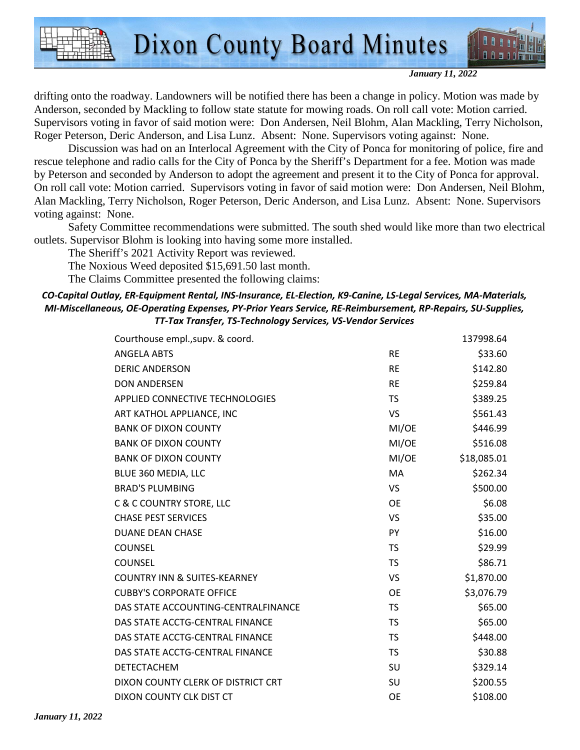

*January 11, 2022* 

drifting onto the roadway. Landowners will be notified there has been a change in policy. Motion was made by Anderson, seconded by Mackling to follow state statute for mowing roads. On roll call vote: Motion carried. Supervisors voting in favor of said motion were: Don Andersen, Neil Blohm, Alan Mackling, Terry Nicholson, Roger Peterson, Deric Anderson, and Lisa Lunz. Absent: None. Supervisors voting against: None.

Discussion was had on an Interlocal Agreement with the City of Ponca for monitoring of police, fire and rescue telephone and radio calls for the City of Ponca by the Sheriff's Department for a fee. Motion was made by Peterson and seconded by Anderson to adopt the agreement and present it to the City of Ponca for approval. On roll call vote: Motion carried. Supervisors voting in favor of said motion were: Don Andersen, Neil Blohm, Alan Mackling, Terry Nicholson, Roger Peterson, Deric Anderson, and Lisa Lunz. Absent: None. Supervisors voting against: None.

Safety Committee recommendations were submitted. The south shed would like more than two electrical outlets. Supervisor Blohm is looking into having some more installed.

The Sheriff's 2021 Activity Report was reviewed.

The Noxious Weed deposited \$15,691.50 last month.

The Claims Committee presented the following claims:

#### *CO-Capital Outlay, ER-Equipment Rental, INS-Insurance, EL-Election, K9-Canine, LS-Legal Services, MA-Materials, MI-Miscellaneous, OE-Operating Expenses, PY-Prior Years Service, RE-Reimbursement, RP-Repairs, SU-Supplies, TT-Tax Transfer, TS-Technology Services, VS-Vendor Services*

|           | 137998.64   |
|-----------|-------------|
| <b>RE</b> | \$33.60     |
| <b>RE</b> | \$142.80    |
| <b>RE</b> | \$259.84    |
| TS        | \$389.25    |
| VS        | \$561.43    |
| MI/OE     | \$446.99    |
| MI/OE     | \$516.08    |
| MI/OE     | \$18,085.01 |
| <b>MA</b> | \$262.34    |
| VS        | \$500.00    |
| <b>OE</b> | \$6.08      |
| VS        | \$35.00     |
| PY        | \$16.00     |
| <b>TS</b> | \$29.99     |
| TS        | \$86.71     |
| VS        | \$1,870.00  |
| <b>OE</b> | \$3,076.79  |
| <b>TS</b> | \$65.00     |
| <b>TS</b> | \$65.00     |
| <b>TS</b> | \$448.00    |
| <b>TS</b> | \$30.88     |
| SU        | \$329.14    |
| SU        | \$200.55    |
| <b>OE</b> | \$108.00    |
|           |             |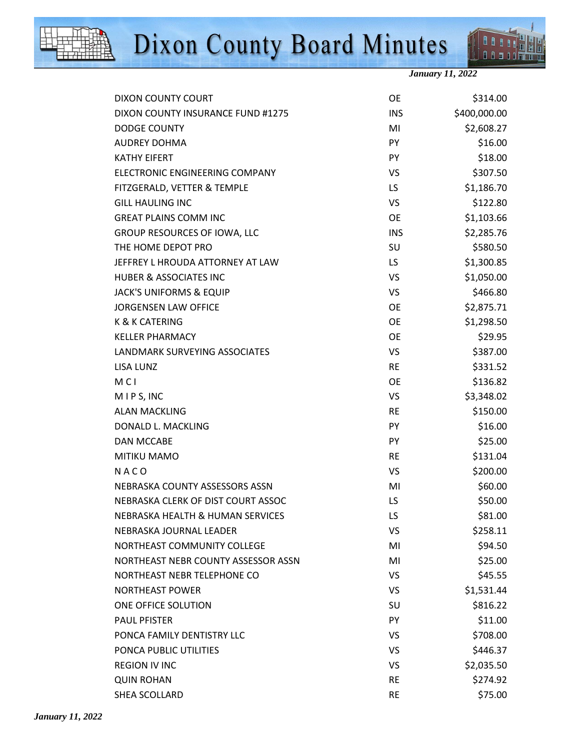



**DOO** 88 a a a a fr

| DIXON COUNTY COURT                  | <b>OE</b>  | \$314.00     |
|-------------------------------------|------------|--------------|
| DIXON COUNTY INSURANCE FUND #1275   | <b>INS</b> | \$400,000.00 |
| <b>DODGE COUNTY</b>                 | MI         | \$2,608.27   |
| <b>AUDREY DOHMA</b>                 | PY         | \$16.00      |
| <b>KATHY EIFERT</b>                 | PY         | \$18.00      |
| ELECTRONIC ENGINEERING COMPANY      | VS         | \$307.50     |
| FITZGERALD, VETTER & TEMPLE         | LS.        | \$1,186.70   |
| <b>GILL HAULING INC</b>             | VS         | \$122.80     |
| <b>GREAT PLAINS COMM INC</b>        | <b>OE</b>  | \$1,103.66   |
| GROUP RESOURCES OF IOWA, LLC        | <b>INS</b> | \$2,285.76   |
| THE HOME DEPOT PRO                  | <b>SU</b>  | \$580.50     |
| JEFFREY L HROUDA ATTORNEY AT LAW    | LS.        | \$1,300.85   |
| <b>HUBER &amp; ASSOCIATES INC</b>   | VS         | \$1,050.00   |
| <b>JACK'S UNIFORMS &amp; EQUIP</b>  | VS         | \$466.80     |
| <b>JORGENSEN LAW OFFICE</b>         | <b>OE</b>  | \$2,875.71   |
| <b>K &amp; K CATERING</b>           | <b>OE</b>  | \$1,298.50   |
| <b>KELLER PHARMACY</b>              | <b>OE</b>  | \$29.95      |
| LANDMARK SURVEYING ASSOCIATES       | VS.        | \$387.00     |
| LISA LUNZ                           | <b>RE</b>  | \$331.52     |
| <b>MCI</b>                          | <b>OE</b>  | \$136.82     |
| MIPS, INC                           | VS         | \$3,348.02   |
| <b>ALAN MACKLING</b>                | <b>RE</b>  | \$150.00     |
| DONALD L. MACKLING                  | PY         | \$16.00      |
| DAN MCCABE                          | <b>PY</b>  | \$25.00      |
| <b>MITIKU MAMO</b>                  | <b>RE</b>  | \$131.04     |
| NACO                                | VS         | \$200.00     |
| NEBRASKA COUNTY ASSESSORS ASSN      | MI         | \$60.00      |
| NEBRASKA CLERK OF DIST COURT ASSOC  | LS         | \$50.00      |
| NEBRASKA HEALTH & HUMAN SERVICES    | LS         | \$81.00      |
| NEBRASKA JOURNAL LEADER             | VS         | \$258.11     |
| NORTHEAST COMMUNITY COLLEGE         | MI         | \$94.50      |
| NORTHEAST NEBR COUNTY ASSESSOR ASSN | MI         | \$25.00      |
| NORTHEAST NEBR TELEPHONE CO         | VS         | \$45.55      |
| <b>NORTHEAST POWER</b>              | VS         | \$1,531.44   |
| ONE OFFICE SOLUTION                 | SU         | \$816.22     |
| <b>PAUL PFISTER</b>                 | PY         | \$11.00      |
| PONCA FAMILY DENTISTRY LLC          | VS         | \$708.00     |
| PONCA PUBLIC UTILITIES              | VS.        | \$446.37     |
| <b>REGION IV INC</b>                | VS         | \$2,035.50   |
| <b>QUIN ROHAN</b>                   | <b>RE</b>  | \$274.92     |
| SHEA SCOLLARD                       | <b>RE</b>  | \$75.00      |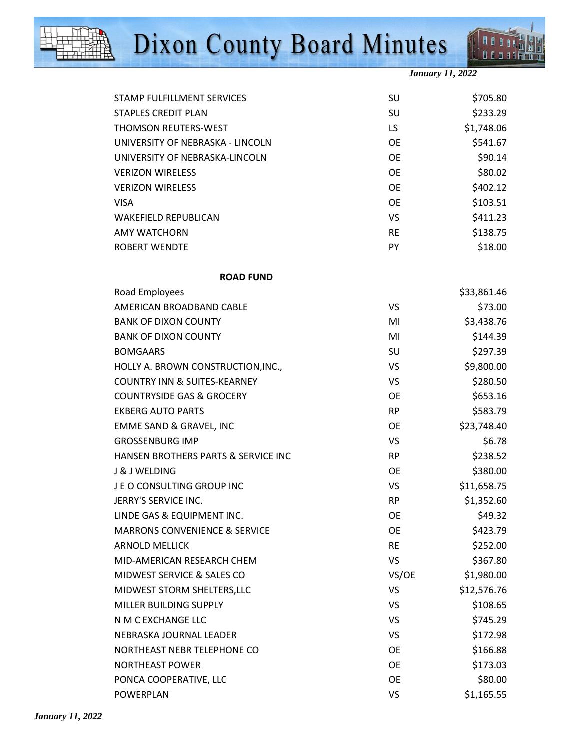



*January 11, 2022* 

| STAMP FULFILLMENT SERVICES               | SU        | \$705.80    |
|------------------------------------------|-----------|-------------|
| <b>STAPLES CREDIT PLAN</b>               | SU        | \$233.29    |
| <b>THOMSON REUTERS-WEST</b>              | LS.       | \$1,748.06  |
| UNIVERSITY OF NEBRASKA - LINCOLN         | <b>OE</b> | \$541.67    |
| UNIVERSITY OF NEBRASKA-LINCOLN           | <b>OE</b> | \$90.14     |
| <b>VERIZON WIRELESS</b>                  | <b>OE</b> | \$80.02     |
| <b>VERIZON WIRELESS</b>                  | <b>OE</b> | \$402.12    |
| <b>VISA</b>                              | <b>OE</b> | \$103.51    |
| <b>WAKEFIELD REPUBLICAN</b>              | <b>VS</b> | \$411.23    |
| <b>AMY WATCHORN</b>                      | <b>RE</b> | \$138.75    |
| <b>ROBERT WENDTE</b>                     | PY        | \$18.00     |
| <b>ROAD FUND</b>                         |           |             |
| Road Employees                           |           | \$33,861.46 |
| AMERICAN BROADBAND CABLE                 | <b>VS</b> | \$73.00     |
| <b>BANK OF DIXON COUNTY</b>              | MI        | \$3,438.76  |
| <b>BANK OF DIXON COUNTY</b>              | MI        | \$144.39    |
| <b>BOMGAARS</b>                          | SU        | \$297.39    |
| HOLLY A. BROWN CONSTRUCTION, INC.,       | VS        | \$9,800.00  |
| <b>COUNTRY INN &amp; SUITES-KEARNEY</b>  | <b>VS</b> | \$280.50    |
| <b>COUNTRYSIDE GAS &amp; GROCERY</b>     | <b>OE</b> | \$653.16    |
| <b>EKBERG AUTO PARTS</b>                 | <b>RP</b> | \$583.79    |
| EMME SAND & GRAVEL, INC                  | <b>OE</b> | \$23,748.40 |
| <b>GROSSENBURG IMP</b>                   | VS        | \$6.78      |
| HANSEN BROTHERS PARTS & SERVICE INC      | <b>RP</b> | \$238.52    |
| J & J WELDING                            | <b>OE</b> | \$380.00    |
| JEO CONSULTING GROUP INC                 | VS        | \$11,658.75 |
| JERRY'S SERVICE INC.                     | <b>RP</b> | \$1,352.60  |
| LINDE GAS & EQUIPMENT INC.               | <b>OE</b> | \$49.32     |
| <b>MARRONS CONVENIENCE &amp; SERVICE</b> | <b>OE</b> | \$423.79    |
| <b>ARNOLD MELLICK</b>                    | <b>RE</b> | \$252.00    |
| MID-AMERICAN RESEARCH CHEM               | <b>VS</b> | \$367.80    |
| MIDWEST SERVICE & SALES CO               | VS/OE     | \$1,980.00  |
| MIDWEST STORM SHELTERS, LLC              | <b>VS</b> | \$12,576.76 |
| MILLER BUILDING SUPPLY                   | <b>VS</b> | \$108.65    |
| N M C EXCHANGE LLC                       | <b>VS</b> | \$745.29    |
| NEBRASKA JOURNAL LEADER                  | <b>VS</b> | \$172.98    |
| NORTHEAST NEBR TELEPHONE CO              | <b>OE</b> | \$166.88    |
| NORTHEAST POWER                          | <b>OE</b> | \$173.03    |
| PONCA COOPERATIVE, LLC                   | <b>OE</b> | \$80.00     |
| POWERPLAN                                | <b>VS</b> | \$1,165.55  |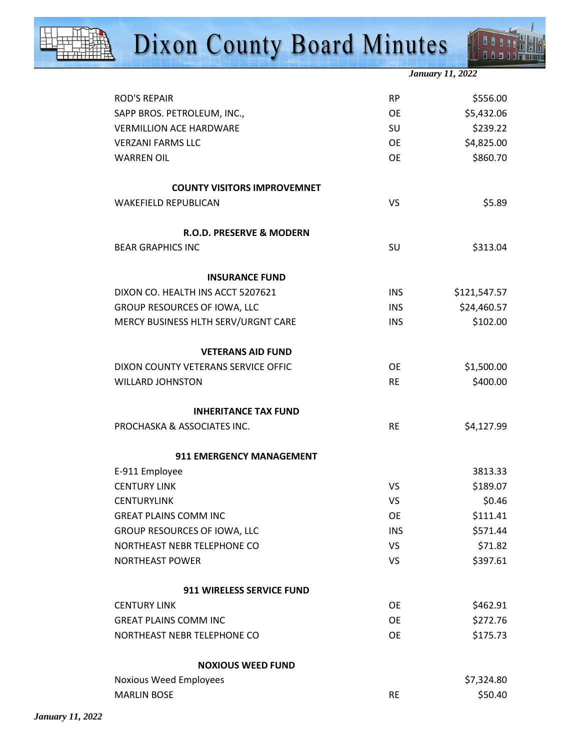

**DOO** 88 a a a a fr

| <b>ROD'S REPAIR</b>                 | <b>RP</b>  | \$556.00     |
|-------------------------------------|------------|--------------|
| SAPP BROS. PETROLEUM, INC.,         | <b>OE</b>  | \$5,432.06   |
| <b>VERMILLION ACE HARDWARE</b>      | SU         | \$239.22     |
| <b>VERZANI FARMS LLC</b>            | <b>OE</b>  | \$4,825.00   |
| <b>WARREN OIL</b>                   | <b>OE</b>  | \$860.70     |
| <b>COUNTY VISITORS IMPROVEMNET</b>  |            |              |
| <b>WAKEFIELD REPUBLICAN</b>         | <b>VS</b>  | \$5.89       |
|                                     |            |              |
| R.O.D. PRESERVE & MODERN            |            |              |
| <b>BEAR GRAPHICS INC</b>            | SU         | \$313.04     |
| <b>INSURANCE FUND</b>               |            |              |
| DIXON CO. HEALTH INS ACCT 5207621   | <b>INS</b> | \$121,547.57 |
| GROUP RESOURCES OF IOWA, LLC        | <b>INS</b> | \$24,460.57  |
| MERCY BUSINESS HLTH SERV/URGNT CARE | <b>INS</b> | \$102.00     |
| <b>VETERANS AID FUND</b>            |            |              |
| DIXON COUNTY VETERANS SERVICE OFFIC | <b>OE</b>  | \$1,500.00   |
| <b>WILLARD JOHNSTON</b>             | <b>RE</b>  | \$400.00     |
| <b>INHERITANCE TAX FUND</b>         |            |              |
| PROCHASKA & ASSOCIATES INC.         | <b>RE</b>  | \$4,127.99   |
| 911 EMERGENCY MANAGEMENT            |            |              |
| E-911 Employee                      |            | 3813.33      |
| <b>CENTURY LINK</b>                 | VS         | \$189.07     |
| <b>CENTURYLINK</b>                  | <b>VS</b>  | \$0.46       |
| <b>GREAT PLAINS COMM INC</b>        | <b>OE</b>  | \$111.41     |
| GROUP RESOURCES OF IOWA, LLC        | <b>INS</b> | \$571.44     |
| NORTHEAST NEBR TELEPHONE CO         | VS         | \$71.82      |
| NORTHEAST POWER                     | <b>VS</b>  | \$397.61     |
| 911 WIRELESS SERVICE FUND           |            |              |
| <b>CENTURY LINK</b>                 | <b>OE</b>  | \$462.91     |
| <b>GREAT PLAINS COMM INC</b>        | <b>OE</b>  | \$272.76     |
| NORTHEAST NEBR TELEPHONE CO         | OE         | \$175.73     |
| <b>NOXIOUS WEED FUND</b>            |            |              |
| Noxious Weed Employees              |            | \$7,324.80   |
| <b>MARLIN BOSE</b>                  | <b>RE</b>  | \$50.40      |
|                                     |            |              |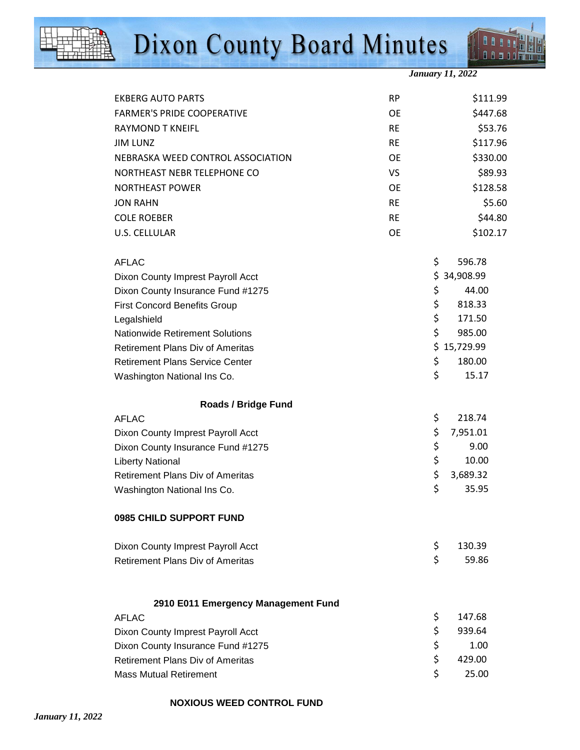



*January 11, 2022* 

| <b>EKBERG AUTO PARTS</b>                | <b>RP</b> | \$111.99       |
|-----------------------------------------|-----------|----------------|
| <b>FARMER'S PRIDE COOPERATIVE</b>       | <b>OE</b> | \$447.68       |
| <b>RAYMOND T KNEIFL</b>                 | <b>RE</b> | \$53.76        |
| <b>JIM LUNZ</b>                         | <b>RE</b> | \$117.96       |
| NEBRASKA WEED CONTROL ASSOCIATION       | <b>OE</b> | \$330.00       |
| NORTHEAST NEBR TELEPHONE CO             | VS        | \$89.93        |
| NORTHEAST POWER                         | <b>OE</b> | \$128.58       |
| <b>JON RAHN</b>                         | <b>RE</b> | \$5.60         |
| <b>COLE ROEBER</b>                      | <b>RE</b> | \$44.80        |
| U.S. CELLULAR                           | <b>OE</b> | \$102.17       |
| <b>AFLAC</b>                            |           | \$<br>596.78   |
| Dixon County Imprest Payroll Acct       |           | \$34,908.99    |
| Dixon County Insurance Fund #1275       |           | \$<br>44.00    |
| <b>First Concord Benefits Group</b>     |           | \$<br>818.33   |
| Legalshield                             |           | \$<br>171.50   |
| <b>Nationwide Retirement Solutions</b>  |           | \$<br>985.00   |
| <b>Retirement Plans Div of Ameritas</b> |           | \$15,729.99    |
| <b>Retirement Plans Service Center</b>  |           | \$<br>180.00   |
| Washington National Ins Co.             |           | \$<br>15.17    |
| <b>Roads / Bridge Fund</b>              |           |                |
| <b>AFLAC</b>                            |           | \$<br>218.74   |
| Dixon County Imprest Payroll Acct       |           | \$<br>7,951.01 |
| Dixon County Insurance Fund #1275       |           | \$<br>9.00     |
| <b>Liberty National</b>                 |           | \$<br>10.00    |
| <b>Retirement Plans Div of Ameritas</b> |           | \$<br>3,689.32 |
| Washington National Ins Co.             |           | \$<br>35.95    |
| 0985 CHILD SUPPORT FUND                 |           |                |
| Dixon County Imprest Payroll Acct       |           | \$<br>130.39   |
| <b>Retirement Plans Div of Ameritas</b> |           | \$<br>59.86    |
| 2910 E011 Emergency Management Fund     |           |                |
| <b>AFLAC</b>                            |           | \$<br>147.68   |
| Dixon County Imprest Payroll Acct       |           | \$<br>939.64   |
| Dixon County Insurance Fund #1275       |           | \$<br>1.00     |
| <b>Retirement Plans Div of Ameritas</b> |           | \$<br>429.00   |
| <b>Mass Mutual Retirement</b>           |           | \$<br>25.00    |

#### **NOXIOUS WEED CONTROL FUND**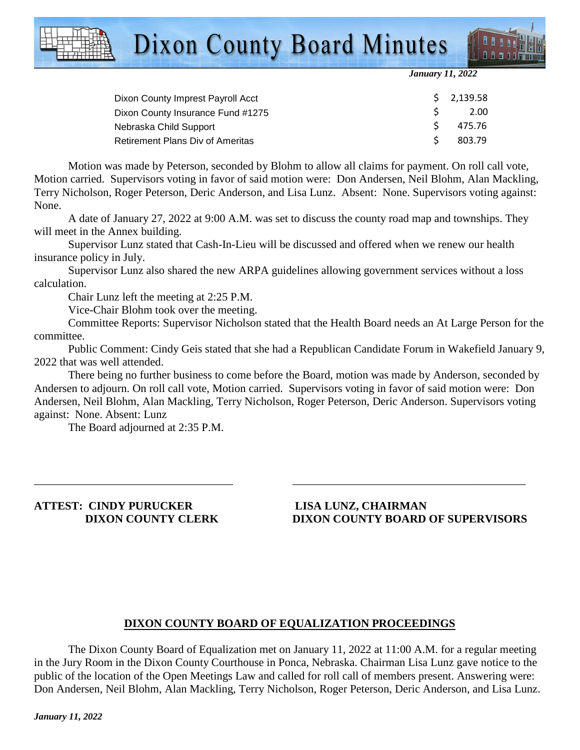



*January 11, 2022* 

| \$2,139.58 |
|------------|
| 2.00       |
| 475.76     |
| 803.79     |
|            |

Motion was made by Peterson, seconded by Blohm to allow all claims for payment. On roll call vote, Motion carried. Supervisors voting in favor of said motion were: Don Andersen, Neil Blohm, Alan Mackling, Terry Nicholson, Roger Peterson, Deric Anderson, and Lisa Lunz. Absent: None. Supervisors voting against: None.

A date of January 27, 2022 at 9:00 A.M. was set to discuss the county road map and townships. They will meet in the Annex building.

 Supervisor Lunz stated that Cash-In-Lieu will be discussed and offered when we renew our health insurance policy in July.

 Supervisor Lunz also shared the new ARPA guidelines allowing government services without a loss calculation.

Chair Lunz left the meeting at 2:25 P.M.

Vice-Chair Blohm took over the meeting.

 Committee Reports: Supervisor Nicholson stated that the Health Board needs an At Large Person for the committee.

 Public Comment: Cindy Geis stated that she had a Republican Candidate Forum in Wakefield January 9, 2022 that was well attended.

There being no further business to come before the Board, motion was made by Anderson, seconded by Andersen to adjourn. On roll call vote, Motion carried. Supervisors voting in favor of said motion were: Don Andersen, Neil Blohm, Alan Mackling, Terry Nicholson, Roger Peterson, Deric Anderson. Supervisors voting against: None. Absent: Lunz

\_\_\_\_\_\_\_\_\_\_\_\_\_\_\_\_\_\_\_\_\_\_\_\_\_\_\_\_\_\_\_\_\_\_\_ \_\_\_\_\_\_\_\_\_\_\_\_\_\_\_\_\_\_\_\_\_\_\_\_\_\_\_\_\_\_\_\_\_\_\_\_\_\_\_\_\_

The Board adjourned at 2:35 P.M.

**ATTEST: CINDY PURUCKER LISA LUNZ, CHAIRMAN** 

### **DIXON COUNTY CLERK DIXON COUNTY BOARD OF SUPERVISORS**

#### **DIXON COUNTY BOARD OF EQUALIZATION PROCEEDINGS**

 The Dixon County Board of Equalization met on January 11, 2022 at 11:00 A.M. for a regular meeting in the Jury Room in the Dixon County Courthouse in Ponca, Nebraska. Chairman Lisa Lunz gave notice to the public of the location of the Open Meetings Law and called for roll call of members present. Answering were: Don Andersen, Neil Blohm, Alan Mackling, Terry Nicholson, Roger Peterson, Deric Anderson, and Lisa Lunz.